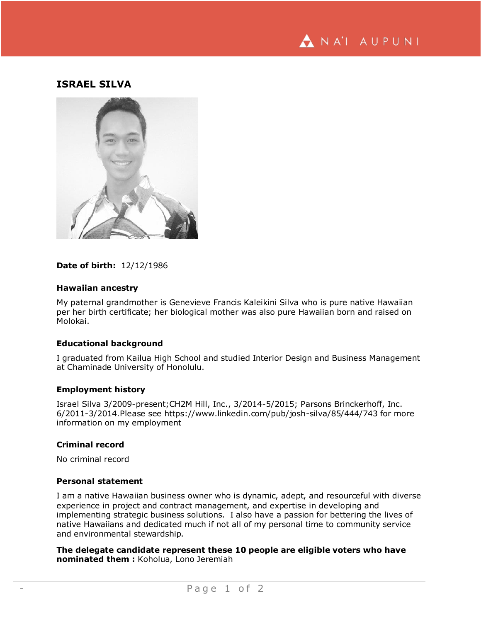

# **ISRAEL SILVA**



# **Date of birth:** 12/12/1986

### **Hawaiian ancestry**

My paternal grandmother is Genevieve Francis Kaleikini Silva who is pure native Hawaiian per her birth certificate; her biological mother was also pure Hawaiian born and raised on Molokai.

# **Educational background**

I graduated from Kailua High School and studied Interior Design and Business Management at Chaminade University of Honolulu.

#### **Employment history**

Israel Silva 3/2009-present;CH2M Hill, Inc., 3/2014-5/2015; Parsons Brinckerhoff, Inc. 6/2011-3/2014.Please see https://www.linkedin.com/pub/josh-silva/85/444/743 for more information on my employment

# **Criminal record**

No criminal record

#### **Personal statement**

I am a native Hawaiian business owner who is dynamic, adept, and resourceful with diverse experience in project and contract management, and expertise in developing and implementing strategic business solutions. I also have a passion for bettering the lives of native Hawaiians and dedicated much if not all of my personal time to community service and environmental stewardship.

**The delegate candidate represent these 10 people are eligible voters who have nominated them :** Koholua, Lono Jeremiah